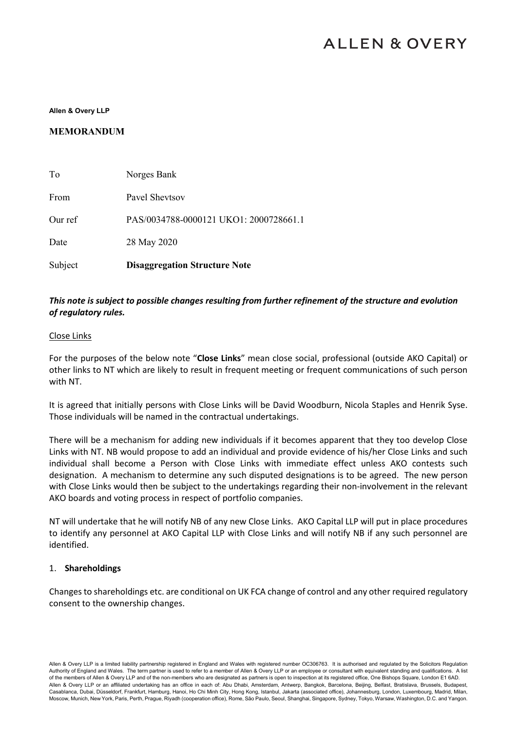# **ALLEN & OVERY**

**Allen & Overy LLP**

#### **MEMORANDUM**

| Subject | <b>Disaggregation Structure Note</b>   |
|---------|----------------------------------------|
| Date    | 28 May 2020                            |
| Our ref | PAS/0034788-0000121 UKO1: 2000728661.1 |
| From    | Pavel Shevtsov                         |
| To      | Norges Bank                            |

## *This note is subject to possible changes resulting from further refinement of the structure and evolution of regulatory rules.*

#### Close Links

For the purposes of the below note "**Close Links**" mean close social, professional (outside AKO Capital) or other links to NT which are likely to result in frequent meeting or frequent communications of such person with NT.

It is agreed that initially persons with Close Links will be David Woodburn, Nicola Staples and Henrik Syse. Those individuals will be named in the contractual undertakings.

There will be a mechanism for adding new individuals if it becomes apparent that they too develop Close Links with NT. NB would propose to add an individual and provide evidence of his/her Close Links and such individual shall become a Person with Close Links with immediate effect unless AKO contests such designation. A mechanism to determine any such disputed designations is to be agreed. The new person with Close Links would then be subject to the undertakings regarding their non-involvement in the relevant AKO boards and voting process in respect of portfolio companies.

NT will undertake that he will notify NB of any new Close Links. AKO Capital LLP will put in place procedures to identify any personnel at AKO Capital LLP with Close Links and will notify NB if any such personnel are identified.

#### 1. **Shareholdings**

Changes to shareholdings etc. are conditional on UK FCA change of control and any other required regulatory consent to the ownership changes.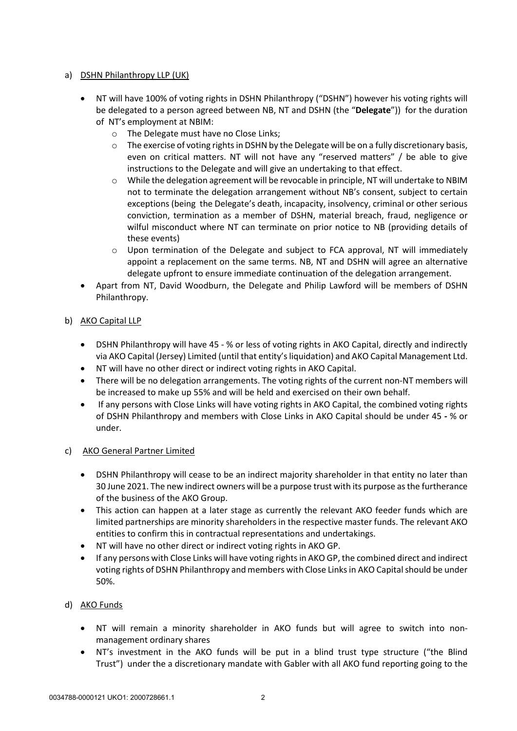## a) DSHN Philanthropy LLP (UK)

- NT will have 100% of voting rights in DSHN Philanthropy ("DSHN") however his voting rights will be delegated to a person agreed between NB, NT and DSHN (the "**Delegate**")) for the duration of NT's employment at NBIM:
	- o The Delegate must have no Close Links;
	- $\circ$  The exercise of voting rights in DSHN by the Delegate will be on a fully discretionary basis, even on critical matters. NT will not have any "reserved matters" / be able to give instructions to the Delegate and will give an undertaking to that effect.
	- $\circ$  While the delegation agreement will be revocable in principle, NT will undertake to NBIM not to terminate the delegation arrangement without NB's consent, subject to certain exceptions (being the Delegate's death, incapacity, insolvency, criminal or other serious conviction, termination as a member of DSHN, material breach, fraud, negligence or wilful misconduct where NT can terminate on prior notice to NB (providing details of these events)
	- $\circ$  Upon termination of the Delegate and subject to FCA approval, NT will immediately appoint a replacement on the same terms. NB, NT and DSHN will agree an alternative delegate upfront to ensure immediate continuation of the delegation arrangement.
- Apart from NT, David Woodburn, the Delegate and Philip Lawford will be members of DSHN Philanthropy.

# b) AKO Capital LLP

- DSHN Philanthropy will have 45 % or less of voting rights in AKO Capital, directly and indirectly via AKO Capital (Jersey) Limited (until that entity's liquidation) and AKO Capital Management Ltd.
- NT will have no other direct or indirect voting rights in AKO Capital.
- There will be no delegation arrangements. The voting rights of the current non-NT members will be increased to make up 55% and will be held and exercised on their own behalf.
- If any persons with Close Links will have voting rights in AKO Capital, the combined voting rights of DSHN Philanthropy and members with Close Links in AKO Capital should be under 45 *-* % or under.

# c) AKO General Partner Limited

- DSHN Philanthropy will cease to be an indirect majority shareholder in that entity no later than 30 June 2021. The new indirect owners will be a purpose trust with its purpose as the furtherance of the business of the AKO Group.
- This action can happen at a later stage as currently the relevant AKO feeder funds which are limited partnerships are minority shareholders in the respective master funds. The relevant AKO entities to confirm this in contractual representations and undertakings.
- NT will have no other direct or indirect voting rights in AKO GP.
- If any persons with Close Links will have voting rights in AKO GP, the combined direct and indirect voting rights of DSHN Philanthropy and members with Close Links in AKO Capital should be under 50%.

# d) AKO Funds

- NT will remain a minority shareholder in AKO funds but will agree to switch into nonmanagement ordinary shares
- NT's investment in the AKO funds will be put in a blind trust type structure ("the Blind Trust") under the a discretionary mandate with Gabler with all AKO fund reporting going to the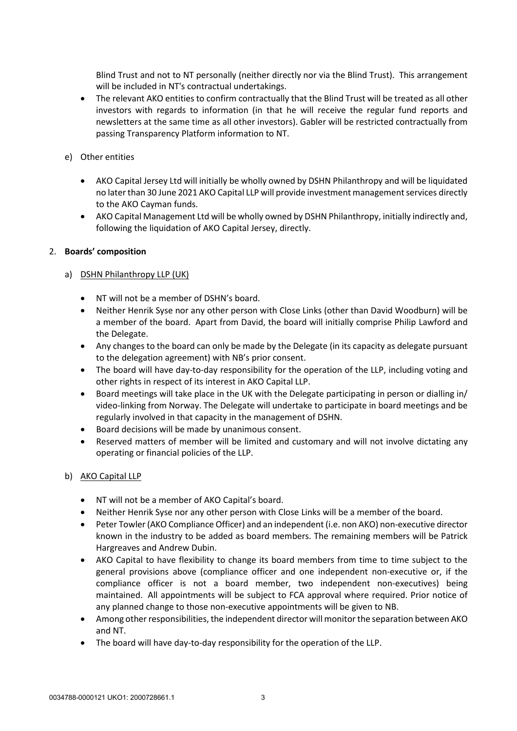Blind Trust and not to NT personally (neither directly nor via the Blind Trust). This arrangement will be included in NT's contractual undertakings.

- The relevant AKO entities to confirm contractually that the Blind Trust will be treated as all other investors with regards to information (in that he will receive the regular fund reports and newsletters at the same time as all other investors). Gabler will be restricted contractually from passing Transparency Platform information to NT.
- e) Other entities
	- AKO Capital Jersey Ltd will initially be wholly owned by DSHN Philanthropy and will be liquidated no later than 30 June 2021 AKO Capital LLP will provide investment management services directly to the AKO Cayman funds.
	- AKO Capital Management Ltd will be wholly owned by DSHN Philanthropy, initially indirectly and, following the liquidation of AKO Capital Jersey, directly.

#### 2. **Boards' composition**

#### a) DSHN Philanthropy LLP (UK)

- NT will not be a member of DSHN's board.
- Neither Henrik Syse nor any other person with Close Links (other than David Woodburn) will be a member of the board. Apart from David, the board will initially comprise Philip Lawford and the Delegate.
- Any changes to the board can only be made by the Delegate (in its capacity as delegate pursuant to the delegation agreement) with NB's prior consent.
- The board will have day-to-day responsibility for the operation of the LLP, including voting and other rights in respect of its interest in AKO Capital LLP.
- Board meetings will take place in the UK with the Delegate participating in person or dialling in/ video-linking from Norway. The Delegate will undertake to participate in board meetings and be regularly involved in that capacity in the management of DSHN.
- Board decisions will be made by unanimous consent.
- Reserved matters of member will be limited and customary and will not involve dictating any operating or financial policies of the LLP.

#### b) AKO Capital LLP

- NT will not be a member of AKO Capital's board.
- Neither Henrik Syse nor any other person with Close Links will be a member of the board.
- Peter Towler (AKO Compliance Officer) and an independent (i.e. non AKO) non-executive director known in the industry to be added as board members. The remaining members will be Patrick Hargreaves and Andrew Dubin.
- AKO Capital to have flexibility to change its board members from time to time subject to the general provisions above (compliance officer and one independent non-executive or, if the compliance officer is not a board member, two independent non-executives) being maintained. All appointments will be subject to FCA approval where required. Prior notice of any planned change to those non-executive appointments will be given to NB.
- Among other responsibilities, the independent director will monitor the separation between AKO and NT.
- The board will have day-to-day responsibility for the operation of the LLP.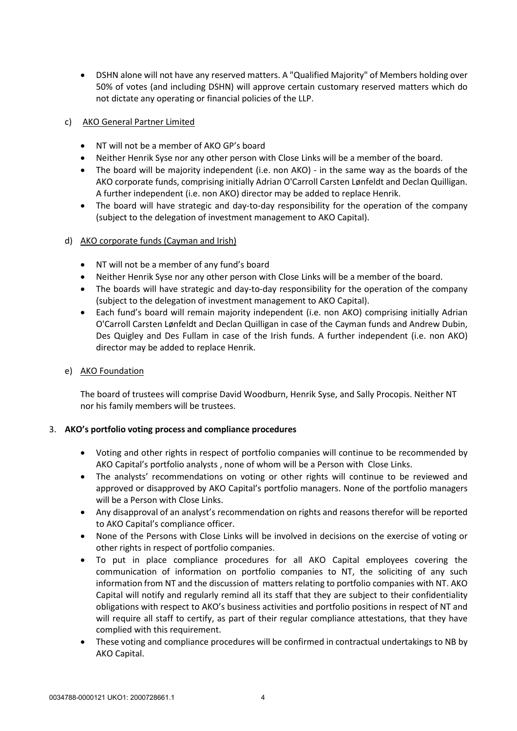• DSHN alone will not have any reserved matters. A "Qualified Majority" of Members holding over 50% of votes (and including DSHN) will approve certain customary reserved matters which do not dictate any operating or financial policies of the LLP.

## c) AKO General Partner Limited

- NT will not be a member of AKO GP's board
- Neither Henrik Syse nor any other person with Close Links will be a member of the board.
- The board will be majority independent (i.e. non AKO) in the same way as the boards of the AKO corporate funds, comprising initially Adrian O'Carroll Carsten Lønfeldt and Declan Quilligan. A further independent (i.e. non AKO) director may be added to replace Henrik.
- The board will have strategic and day-to-day responsibility for the operation of the company (subject to the delegation of investment management to AKO Capital).

#### d) AKO corporate funds (Cayman and Irish)

- NT will not be a member of any fund's board
- Neither Henrik Syse nor any other person with Close Links will be a member of the board.
- The boards will have strategic and day-to-day responsibility for the operation of the company (subject to the delegation of investment management to AKO Capital).
- Each fund's board will remain majority independent (i.e. non AKO) comprising initially Adrian O'Carroll Carsten Lønfeldt and Declan Quilligan in case of the Cayman funds and Andrew Dubin, Des Quigley and Des Fullam in case of the Irish funds. A further independent (i.e. non AKO) director may be added to replace Henrik.

## e) AKO Foundation

The board of trustees will comprise David Woodburn, Henrik Syse, and Sally Procopis. Neither NT nor his family members will be trustees.

#### 3. **AKO's portfolio voting process and compliance procedures**

- Voting and other rights in respect of portfolio companies will continue to be recommended by AKO Capital's portfolio analysts , none of whom will be a Person with Close Links.
- The analysts' recommendations on voting or other rights will continue to be reviewed and approved or disapproved by AKO Capital's portfolio managers. None of the portfolio managers will be a Person with Close Links.
- Any disapproval of an analyst's recommendation on rights and reasons therefor will be reported to AKO Capital's compliance officer.
- None of the Persons with Close Links will be involved in decisions on the exercise of voting or other rights in respect of portfolio companies.
- To put in place compliance procedures for all AKO Capital employees covering the communication of information on portfolio companies to NT, the soliciting of any such information from NT and the discussion of matters relating to portfolio companies with NT. AKO Capital will notify and regularly remind all its staff that they are subject to their confidentiality obligations with respect to AKO's business activities and portfolio positions in respect of NT and will require all staff to certify, as part of their regular compliance attestations, that they have complied with this requirement.
- These voting and compliance procedures will be confirmed in contractual undertakings to NB by AKO Capital.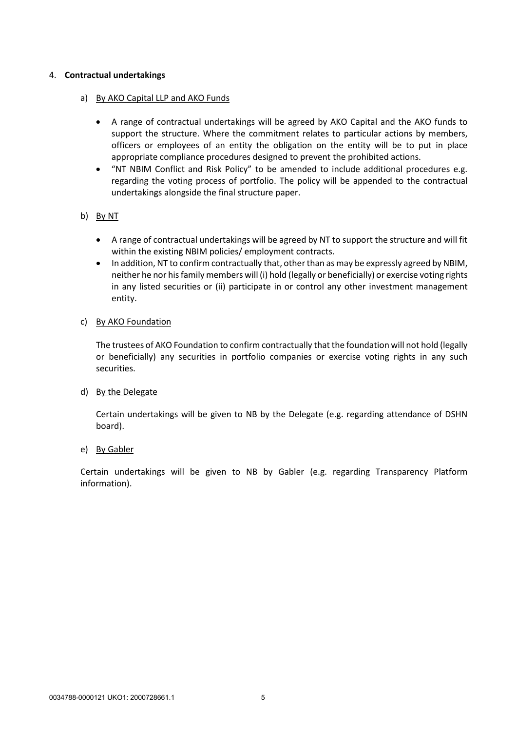#### 4. **Contractual undertakings**

## a) By AKO Capital LLP and AKO Funds

- A range of contractual undertakings will be agreed by AKO Capital and the AKO funds to support the structure. Where the commitment relates to particular actions by members, officers or employees of an entity the obligation on the entity will be to put in place appropriate compliance procedures designed to prevent the prohibited actions.
- "NT NBIM Conflict and Risk Policy" to be amended to include additional procedures e.g. regarding the voting process of portfolio. The policy will be appended to the contractual undertakings alongside the final structure paper.

# b) By NT

- A range of contractual undertakings will be agreed by NT to support the structure and will fit within the existing NBIM policies/ employment contracts.
- In addition, NT to confirm contractually that, other than as may be expressly agreed by NBIM, neither he nor his family members will (i) hold (legally or beneficially) or exercise voting rights in any listed securities or (ii) participate in or control any other investment management entity.

#### c) By AKO Foundation

The trustees of AKO Foundation to confirm contractually that the foundation will not hold (legally or beneficially) any securities in portfolio companies or exercise voting rights in any such securities.

#### d) By the Delegate

Certain undertakings will be given to NB by the Delegate (e.g. regarding attendance of DSHN board).

#### e) By Gabler

Certain undertakings will be given to NB by Gabler (e.g. regarding Transparency Platform information).